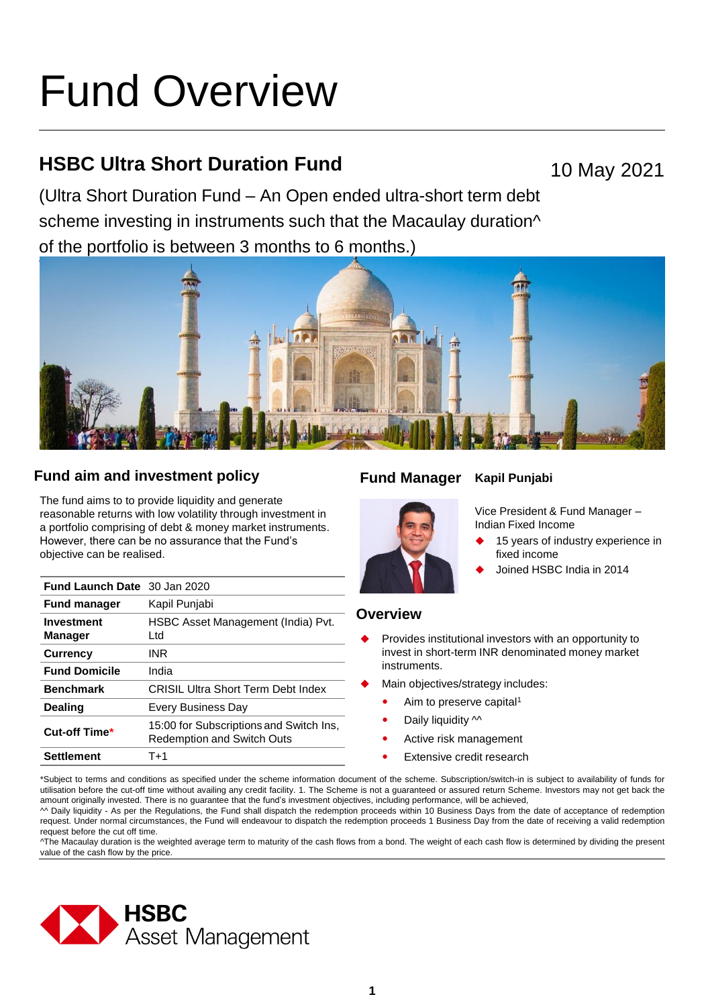# Fund Overview

# **HSBC Ultra Short Duration Fund**

10 May 2021

(Ultra Short Duration Fund – An Open ended ultra-short term debt scheme investing in instruments such that the Macaulay duration<sup> $\wedge$ </sup> of the portfolio is between 3 months to 6 months.)



# **Fund aim and investment policy Fund Manager**

The fund aims to to provide liquidity and generate reasonable returns with low volatility through investment in a portfolio comprising of debt & money market instruments. However, there can be no assurance that the Fund's objective can be realised.

| <b>Fund Launch Date</b> 30 Jan 2020 |                                                                              |
|-------------------------------------|------------------------------------------------------------------------------|
| <b>Fund manager</b>                 | Kapil Punjabi                                                                |
| Investment<br><b>Manager</b>        | HSBC Asset Management (India) Pvt.<br>Ltd                                    |
| <b>Currency</b>                     | INR                                                                          |
| <b>Fund Domicile</b>                | India                                                                        |
| <b>Benchmark</b>                    | CRISIL Ultra Short Term Debt Index                                           |
| Dealing                             | Every Business Day                                                           |
| Cut-off Time*                       | 15:00 for Subscriptions and Switch Ins.<br><b>Redemption and Switch Outs</b> |
| Settlement                          | T+1                                                                          |

# **Kapil Punjabi**



Vice President & Fund Manager – Indian Fixed Income

- 15 years of industry experience in fixed income
- Joined HSBC India in 2014

# **Overview**

- Provides institutional investors with an opportunity to invest in short-term INR denominated money market instruments.
- Main objectives/strategy includes:
	- Aim to preserve capital<sup>1</sup>
	- Daily liquidity  $\sim$
	- Active risk management
	- Extensive credit research

\*Subject to terms and conditions as specified under the scheme information document of the scheme. Subscription/switch-in is subject to availability of funds for utilisation before the cut-off time without availing any credit facility. 1. The Scheme is not a guaranteed or assured return Scheme. Investors may not get back the amount originally invested. There is no guarantee that the fund's investment objectives, including performance, will be achieved,

^^ Daily liquidity - As per the Regulations, the Fund shall dispatch the redemption proceeds within 10 Business Days from the date of acceptance of redemption request. Under normal circumstances, the Fund will endeavour to dispatch the redemption proceeds 1 Business Day from the date of receiving a valid redemption request before the cut off time.

^The Macaulay duration is the weighted average term to maturity of the cash flows from a bond. The weight of each cash flow is determined by dividing the present value of the cash flow by the price.

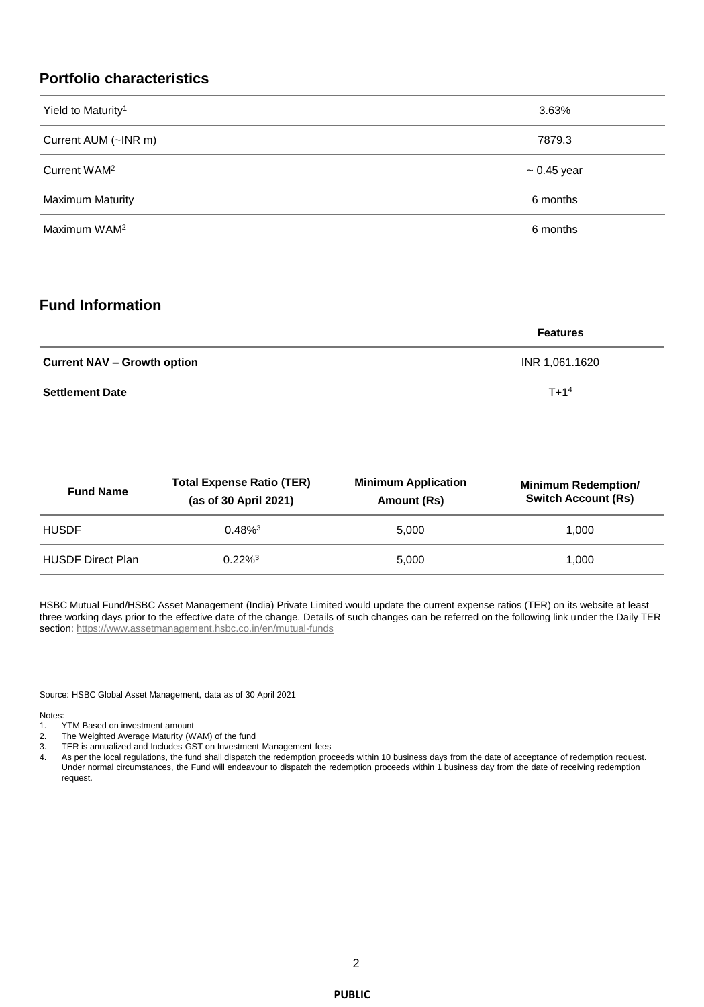# **Portfolio characteristics**

| Yield to Maturity <sup>1</sup> | 3.63%            |
|--------------------------------|------------------|
| Current AUM (~INR m)           | 7879.3           |
| Current WAM <sup>2</sup>       | $\sim 0.45$ year |
| <b>Maximum Maturity</b>        | 6 months         |
| Maximum WAM <sup>2</sup>       | 6 months         |

# **Fund Information**

|                                    | <b>Features</b> |
|------------------------------------|-----------------|
| <b>Current NAV – Growth option</b> | INR 1,061.1620  |
| <b>Settlement Date</b>             | $T + 14$        |

| <b>Fund Name</b>         | <b>Total Expense Ratio (TER)</b><br>(as of 30 April 2021) | <b>Minimum Application</b><br>Amount (Rs) | <b>Minimum Redemption/</b><br><b>Switch Account (Rs)</b> |
|--------------------------|-----------------------------------------------------------|-------------------------------------------|----------------------------------------------------------|
| <b>HUSDF</b>             | $0.48\%$ <sup>3</sup>                                     | 5.000                                     | 1.000                                                    |
| <b>HUSDF Direct Plan</b> | $0.22\%$ <sup>3</sup>                                     | 5.000                                     | 1.000                                                    |

HSBC Mutual Fund/HSBC Asset Management (India) Private Limited would update the current expense ratios (TER) on its website at least three working days prior to the effective date of the change. Details of such changes can be referred on the following link under the Daily TER section:<https://www.assetmanagement.hsbc.co.in/en/mutual-funds>

Source: HSBC Global Asset Management, data as of 30 April 2021

Notes:<br>1.

- TYTM Based on investment amount
- 2. The Weighted Average Maturity (WAM) of the fund
- 3. TER is annualized and Includes GST on Investment Management fees
- 4. As per the local regulations, the fund shall dispatch the redemption proceeds within 10 business days from the date of acceptance of redemption request. Under normal circumstances, the Fund will endeavour to dispatch the redemption proceeds within 1 business day from the date of receiving redemption request.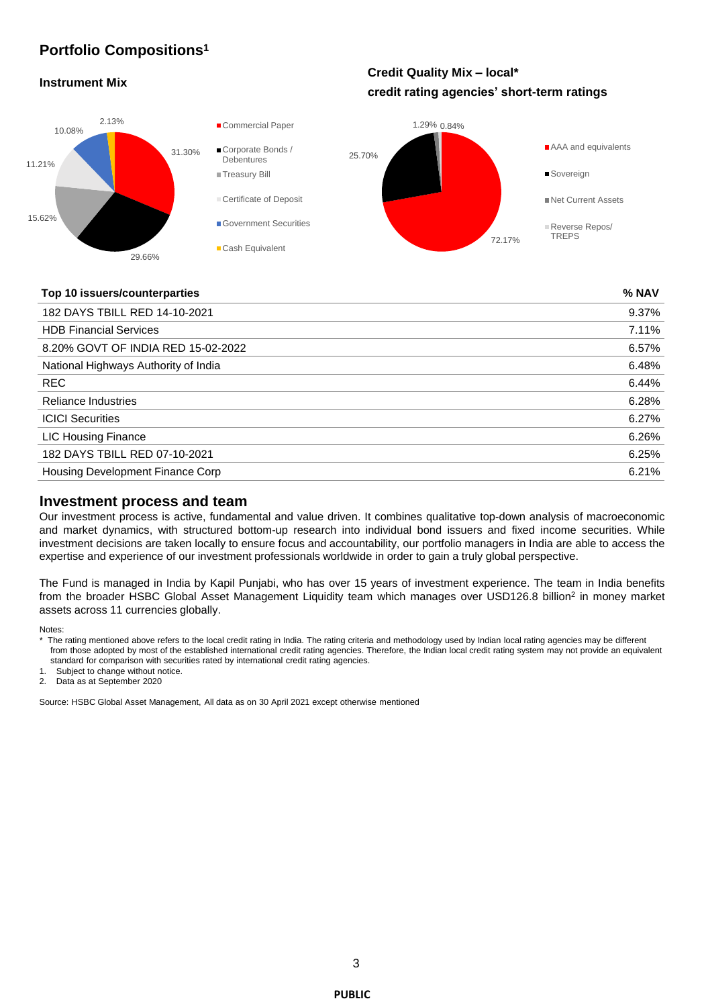# **Portfolio Compositions<sup>1</sup>**

### **Instrument Mix**

# **Credit Quality Mix – local\* credit rating agencies' short-term ratings**



#### **Top 10 issuers/counterparties % NAV**

| 182 DAYS TBILL RED 14-10-2021        | 9.37% |
|--------------------------------------|-------|
| <b>HDB Financial Services</b>        | 7.11% |
| 8.20% GOVT OF INDIA RED 15-02-2022   | 6.57% |
| National Highways Authority of India | 6.48% |
| <b>REC</b>                           | 6.44% |
| Reliance Industries                  | 6.28% |
| <b>ICICI Securities</b>              | 6.27% |
| <b>LIC Housing Finance</b>           | 6.26% |
| 182 DAYS TBILL RED 07-10-2021        | 6.25% |
| Housing Development Finance Corp     | 6.21% |

#### **Investment process and team**

Our investment process is active, fundamental and value driven. It combines qualitative top-down analysis of macroeconomic and market dynamics, with structured bottom-up research into individual bond issuers and fixed income securities. While investment decisions are taken locally to ensure focus and accountability, our portfolio managers in India are able to access the expertise and experience of our investment professionals worldwide in order to gain a truly global perspective.

The Fund is managed in India by Kapil Punjabi, who has over 15 years of investment experience. The team in India benefits from the broader HSBC Global Asset Management Liquidity team which manages over USD126.8 billion<sup>2</sup> in money market assets across 11 currencies globally.

Notes:

Subject to change without notice.

2. Data as at September 2020

Source: HSBC Global Asset Management, All data as on 30 April 2021 except otherwise mentioned

<sup>\*</sup> The rating mentioned above refers to the local credit rating in India. The rating criteria and methodology used by Indian local rating agencies may be different from those adopted by most of the established international credit rating agencies. Therefore, the Indian local credit rating system may not provide an equivalent standard for comparison with securities rated by international credit rating agencies.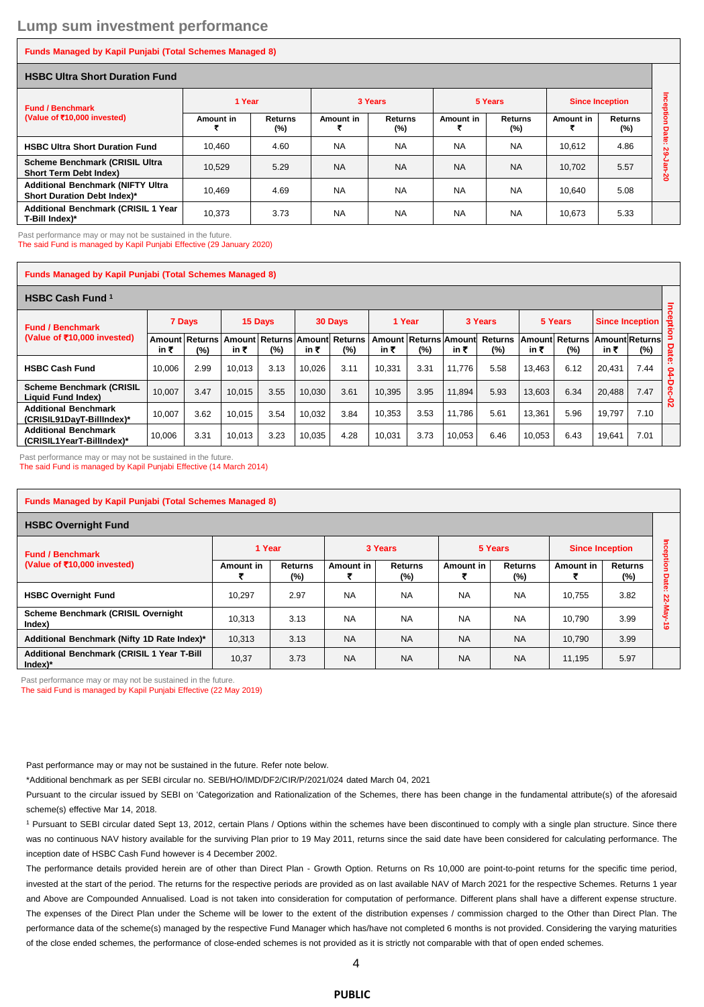#### **Funds Managed by Kapil Punjabi (Total Schemes Managed 8)**

#### **HSBC Ultra Short Duration Fund**

| <b>Fund / Benchmark</b><br>(Value of ₹10,000 invested)                  | 1 Year    |                          | 3 Years   |                          | 5 Years   |                          | <b>Since Inception</b> |                          |   |  |  |
|-------------------------------------------------------------------------|-----------|--------------------------|-----------|--------------------------|-----------|--------------------------|------------------------|--------------------------|---|--|--|
|                                                                         | Amount in | <b>Returns</b><br>$(\%)$ | Amount in | <b>Returns</b><br>$(\%)$ | Amount in | <b>Returns</b><br>$(\%)$ | Amount in              | <b>Returns</b><br>$(\%)$ | o |  |  |
| <b>HSBC Ultra Short Duration Fund</b>                                   | 10.460    | 4.60                     | <b>NA</b> | <b>NA</b>                | <b>NA</b> | <b>NA</b>                | 10.612                 | 4.86                     |   |  |  |
| <b>Scheme Benchmark (CRISIL Ultra</b><br>Short Term Debt Index)         | 10.529    | 5.29                     | <b>NA</b> | <b>NA</b>                | <b>NA</b> | <b>NA</b>                | 10.702                 | 5.57                     | 2 |  |  |
| <b>Additional Benchmark (NIFTY Ultra</b><br>Short Duration Debt Index)* | 10.469    | 4.69                     | <b>NA</b> | <b>NA</b>                | <b>NA</b> | <b>NA</b>                | 10.640                 | 5.08                     |   |  |  |
| <b>Additional Benchmark (CRISIL 1 Year</b><br>T-Bill Index)*            | 10.373    | 3.73                     | <b>NA</b> | <b>NA</b>                | <b>NA</b> | <b>NA</b>                | 10.673                 | 5.33                     |   |  |  |

Past performance may or may not be sustained in the future.

The said Fund is managed by Kapil Punjabi Effective (29 January 2020)

#### **Funds Managed by Kapil Punjabi (Total Schemes Managed 8)**

## **HSBC Cash Fund <sup>1</sup>**

| <b>Fund / Benchmark</b><br>(Value of ₹10,000 invested)   | 15 Days<br>7 Days |                                      |        | 30 Days                              |        | 1 Year |                               | 3 Years |        | 5 Years               |        | Since Inception       |        | Õ                            |         |
|----------------------------------------------------------|-------------------|--------------------------------------|--------|--------------------------------------|--------|--------|-------------------------------|---------|--------|-----------------------|--------|-----------------------|--------|------------------------------|---------|
|                                                          | in ₹              | ⊺Amount │Returns <sup>∣</sup><br>(%) | in ₹   | Amount Returns Amount Returns<br>(%) | in ₹   | $(\%)$ | Amount Returns Amount<br>in ₹ | (%)     | in ₹   | <b>Returns</b><br>(%) | in ₹   | Amount Returns<br>(%) | in₹    | <b>Amount Returns</b><br>(%) | 묘       |
| <b>HSBC Cash Fund</b>                                    | 10.006            | 2.99                                 | 10.013 | 3.13                                 | 10.026 | 3.11   | 10.331                        | 3.31    | 11.776 | 5.58                  | 13.463 | 6.12                  | 20.431 | 7.44                         | है<br>ဥ |
| <b>Scheme Benchmark (CRISIL</b><br>Liquid Fund Index)    | 10.007            | 3.47                                 | 10.015 | 3.55                                 | 10.030 | 3.61   | 10.395                        | 3.95    | 11.894 | 5.93                  | 13.603 | 6.34                  | 20,488 | 7.47                         | 0       |
| <b>Additional Benchmark</b><br>(CRISIL91DavT-BillIndex)* | 10.007            | 3.62                                 | 10.015 | 3.54                                 | 10.032 | 3.84   | 10.353                        | 3.53    | 11.786 | 5.61                  | 13.361 | 5.96                  | 19.797 | 7.10                         | Ñ       |
| <b>Additional Benchmark</b><br>(CRISIL1YearT-BillIndex)* | 10,006            | 3.31                                 | 10.013 | 3.23                                 | 10.035 | 4.28   | 10,031                        | 3.73    | 10,053 | 6.46                  | 10,053 | 6.43                  | 19,641 | 7.01                         |         |

Past performance may or may not be sustained in the future.

The said Fund is managed by Kapil Punjabi Effective (14 March 2014)

| <b>Funds Managed by Kapil Punjabi (Total Schemes Managed 8)</b> |           |                          |           |                       |           |                          |                        |                       |                |  |
|-----------------------------------------------------------------|-----------|--------------------------|-----------|-----------------------|-----------|--------------------------|------------------------|-----------------------|----------------|--|
| <b>HSBC Overnight Fund</b>                                      |           |                          |           |                       |           |                          |                        |                       |                |  |
| <b>Fund / Benchmark</b><br>(Value of ₹10,000 invested)          | 1 Year    |                          | 3 Years   |                       | 5 Years   |                          | <b>Since Inception</b> |                       | 5              |  |
|                                                                 | Amount in | <b>Returns</b><br>$(\%)$ | Amount in | <b>Returns</b><br>(%) | Amount in | <b>Returns</b><br>$(\%)$ | Amount in              | <b>Returns</b><br>(%) | 돂<br>ō<br>Date |  |
| <b>HSBC Overnight Fund</b>                                      | 10.297    | 2.97                     | <b>NA</b> | <b>NA</b>             | <b>NA</b> | <b>NA</b>                | 10.755                 | 3.82                  | <br>N<br>۴     |  |
| Scheme Benchmark (CRISIL Overnight<br>Index)                    | 10,313    | 3.13                     | <b>NA</b> | <b>NA</b>             | <b>NA</b> | <b>NA</b>                | 10.790                 | 3.99                  | $\bullet$      |  |
| Additional Benchmark (Nifty 1D Rate Index)*                     | 10,313    | 3.13                     | <b>NA</b> | <b>NA</b>             | <b>NA</b> | <b>NA</b>                | 10.790                 | 3.99                  |                |  |
| Additional Benchmark (CRISIL 1 Year T-Bill<br>$Index)*$         | 10,37     | 3.73                     | <b>NA</b> | <b>NA</b>             | <b>NA</b> | <b>NA</b>                | 11.195                 | 5.97                  |                |  |

Past performance may or may not be sustained in the future.

The said Fund is managed by Kapil Punjabi Effective (22 May 2019)

Past performance may or may not be sustained in the future. Refer note below.

\*Additional benchmark as per SEBI circular no. SEBI/HO/IMD/DF2/CIR/P/2021/024 dated March 04, 2021

Pursuant to the circular issued by SEBI on 'Categorization and Rationalization of the Schemes, there has been change in the fundamental attribute(s) of the aforesaid scheme(s) effective Mar 14, 2018.

<sup>1</sup> Pursuant to SEBI circular dated Sept 13, 2012, certain Plans / Options within the schemes have been discontinued to comply with a single plan structure. Since there was no continuous NAV history available for the surviving Plan prior to 19 May 2011, returns since the said date have been considered for calculating performance. The inception date of HSBC Cash Fund however is 4 December 2002.

The performance details provided herein are of other than Direct Plan - Growth Option. Returns on Rs 10,000 are point-to-point returns for the specific time period, invested at the start of the period. The returns for the respective periods are provided as on last available NAV of March 2021 for the respective Schemes. Returns 1 year and Above are Compounded Annualised. Load is not taken into consideration for computation of performance. Different plans shall have a different expense structure. The expenses of the Direct Plan under the Scheme will be lower to the extent of the distribution expenses / commission charged to the Other than Direct Plan. The performance data of the scheme(s) managed by the respective Fund Manager which has/have not completed 6 months is not provided. Considering the varying maturities of the close ended schemes, the performance of close-ended schemes is not provided as it is strictly not comparable with that of open ended schemes.

#### **PUBLIC**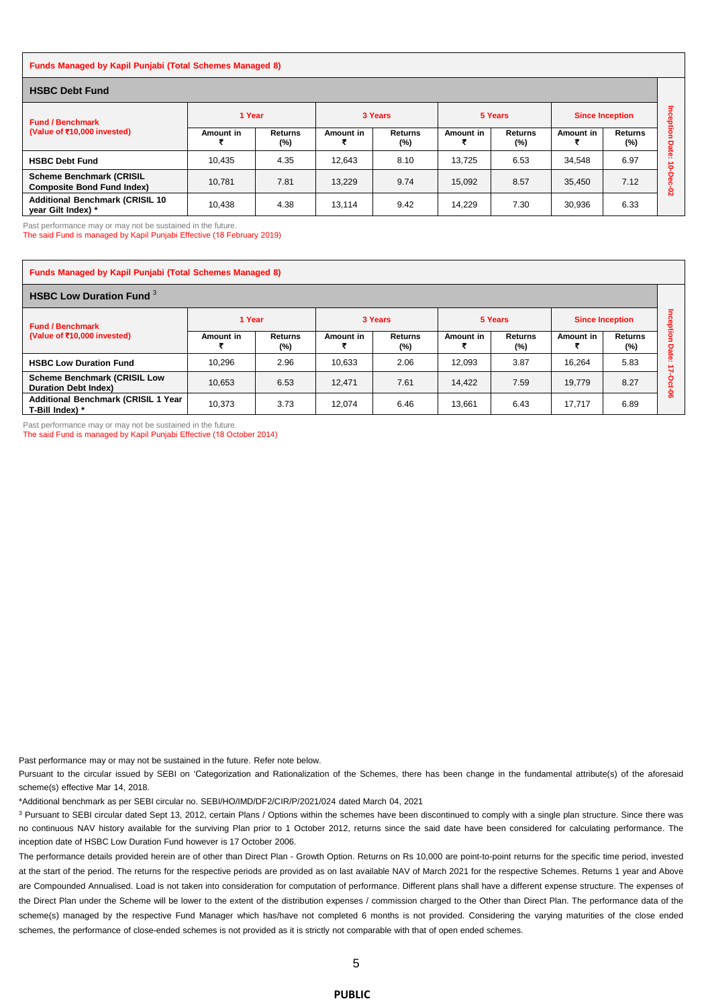| <b>Funds Managed by Kapil Punjabi (Total Schemes Managed 8)</b>      |           |                          |           |                          |           |                       |                        |                       |              |  |  |
|----------------------------------------------------------------------|-----------|--------------------------|-----------|--------------------------|-----------|-----------------------|------------------------|-----------------------|--------------|--|--|
| <b>HSBC Debt Fund</b>                                                |           |                          |           |                          |           |                       |                        |                       |              |  |  |
| <b>Fund / Benchmark</b><br>(Value of ₹10,000 invested)               | 1 Year    |                          | 3 Years   |                          | 5 Years   |                       | <b>Since Inception</b> |                       | πce          |  |  |
|                                                                      | Amount in | <b>Returns</b><br>$(\%)$ | Amount in | <b>Returns</b><br>$(\%)$ | Amount in | <b>Returns</b><br>(%) | Amount in              | <b>Returns</b><br>(%) | ğion<br>Date |  |  |
| <b>HSBC Debt Fund</b>                                                | 10.435    | 4.35                     | 12.643    | 8.10                     | 13.725    | 6.53                  | 34,548                 | 6.97                  | $\cdot$<br>۰ |  |  |
| <b>Scheme Benchmark (CRISIL</b><br><b>Composite Bond Fund Index)</b> | 10.781    | 7.81                     | 13.229    | 9.74                     | 15.092    | 8.57                  | 35,450                 | 7.12                  | Ò<br>ន       |  |  |
| <b>Additional Benchmark (CRISIL 10)</b><br>vear Gilt Index) *        | 10.438    | 4.38                     | 13,114    | 9.42                     | 14.229    | 7.30                  | 30,936                 | 6.33                  |              |  |  |

Past performance may or may not be sustained in the future.

The said Fund is managed by Kapil Punjabi Effective (18 February 2019)

| <b>Funds Managed by Kapil Punjabi (Total Schemes Managed 8)</b>    |           |                       |           |                       |           |                       |           |                          |    |  |  |
|--------------------------------------------------------------------|-----------|-----------------------|-----------|-----------------------|-----------|-----------------------|-----------|--------------------------|----|--|--|
| <b>HSBC Low Duration Fund 3</b>                                    |           |                       |           |                       |           |                       |           |                          |    |  |  |
| <b>Fund / Benchmark</b><br>(Value of ₹10,000 invested)             | 1 Year    |                       |           | 3 Years               |           | 5 Years               |           | <b>Since Inception</b>   |    |  |  |
|                                                                    | Amount in | <b>Returns</b><br>(%) | Amount in | <b>Returns</b><br>(%) | Amount in | <b>Returns</b><br>(%) | Amount in | <b>Returns</b><br>$(\%)$ | o  |  |  |
| <b>HSBC Low Duration Fund</b>                                      | 10.296    | 2.96                  | 10.633    | 2.06                  | 12.093    | 3.87                  | 16.264    | 5.83                     |    |  |  |
| <b>Scheme Benchmark (CRISIL Low</b><br><b>Duration Debt Index)</b> | 10,653    | 6.53                  | 12.471    | 7.61                  | 14.422    | 7.59                  | 19.779    | 8.27                     |    |  |  |
| <b>Additional Benchmark (CRISIL 1 Year</b><br>T-Bill Index) *      | 10.373    | 3.73                  | 12.074    | 6.46                  | 13.661    | 6.43                  | 17.717    | 6.89                     | ႙ၟ |  |  |

Past performance may or may not be sustained in the future.

The said Fund is managed by Kapil Punjabi Effective (18 October 2014)

Past performance may or may not be sustained in the future. Refer note below.

Pursuant to the circular issued by SEBI on 'Categorization and Rationalization of the Schemes, there has been change in the fundamental attribute(s) of the aforesaid scheme(s) effective Mar 14, 2018.

\*Additional benchmark as per SEBI circular no. SEBI/HO/IMD/DF2/CIR/P/2021/024 dated March 04, 2021

<sup>3</sup> Pursuant to SEBI circular dated Sept 13, 2012, certain Plans / Options within the schemes have been discontinued to comply with a single plan structure. Since there was no continuous NAV history available for the surviving Plan prior to 1 October 2012, returns since the said date have been considered for calculating performance. The inception date of HSBC Low Duration Fund however is 17 October 2006.

The performance details provided herein are of other than Direct Plan - Growth Option. Returns on Rs 10,000 are point-to-point returns for the specific time period, invested at the start of the period. The returns for the respective periods are provided as on last available NAV of March 2021 for the respective Schemes. Returns 1 year and Above are Compounded Annualised. Load is not taken into consideration for computation of performance. Different plans shall have a different expense structure. The expenses of the Direct Plan under the Scheme will be lower to the extent of the distribution expenses / commission charged to the Other than Direct Plan. The performance data of the scheme(s) managed by the respective Fund Manager which has/have not completed 6 months is not provided. Considering the varying maturities of the close ended schemes, the performance of close-ended schemes is not provided as it is strictly not comparable with that of open ended schemes.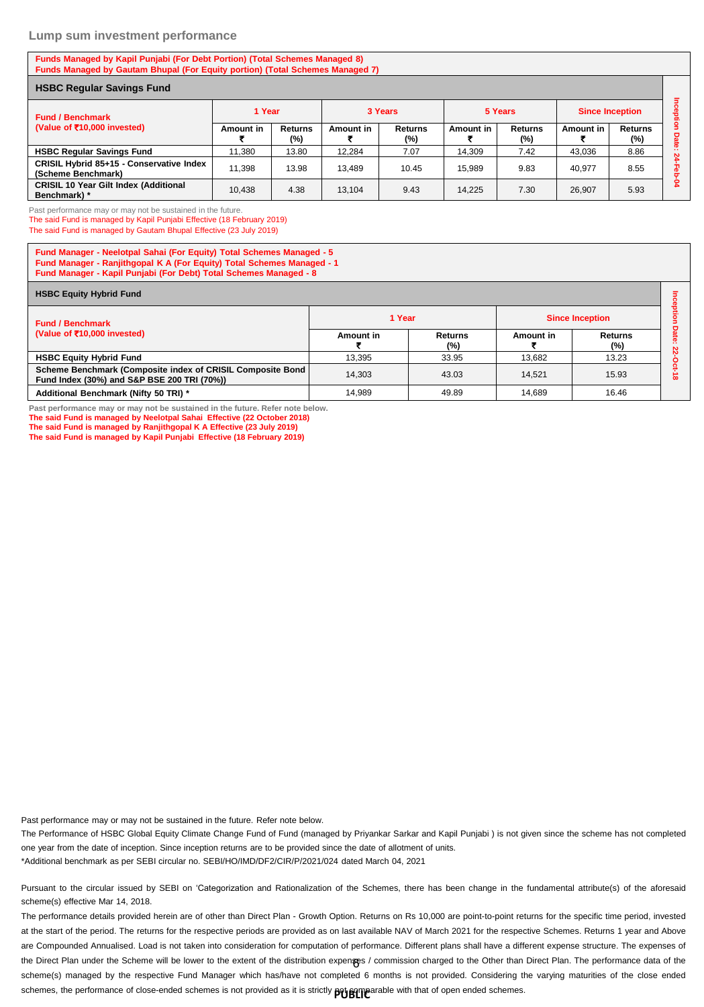#### **Lump sum investment performance**

#### **Funds Managed by Kapil Punjabi (For Debt Portion) (Total Schemes Managed 8) Funds Managed by Gautam Bhupal (For Equity portion) (Total Schemes Managed 7)**

| <b>HSBC Regular Savings Fund</b>                               |           |                          |           |                       |                  |                       |                        |                       |  |
|----------------------------------------------------------------|-----------|--------------------------|-----------|-----------------------|------------------|-----------------------|------------------------|-----------------------|--|
| <b>Fund / Benchmark</b><br>(Value of ₹10,000 invested)         | 1 Year    |                          | 3 Years   |                       | 5 Years          |                       | <b>Since Inception</b> |                       |  |
|                                                                | Amount in | <b>Returns</b><br>$(\%)$ | Amount in | <b>Returns</b><br>(%) | <b>Amount in</b> | <b>Returns</b><br>(%) | Amount in              | <b>Returns</b><br>(%) |  |
| <b>HSBC Regular Savings Fund</b>                               | 11.380    | 13.80                    | 12.284    | 7.07                  | 14.309           | 7.42                  | 43,036                 | 8.86                  |  |
| CRISIL Hybrid 85+15 - Conservative Index<br>(Scheme Benchmark) | 11.398    | 13.98                    | 13.489    | 10.45                 | 15.989           | 9.83                  | 40.977                 | 8.55                  |  |
| <b>CRISIL 10 Year Gilt Index (Additional</b><br>Benchmark) *   | 10.438    | 4.38                     | 13.104    | 9.43                  | 14.225           | 7.30                  | 26.907                 | 5.93                  |  |

Past performance may or may not be sustained in the future.

The said Fund is managed by Kapil Punjabi Effective (18 February 2019) The said Fund is managed by Gautam Bhupal Effective (23 July 2019)

**Fund Manager - Neelotpal Sahai (For Equity) Total Schemes Managed - 5 Fund Manager - Ranjithgopal K A (For Equity) Total Schemes Managed - 1 Fund Manager - Kapil Punjabi (For Debt) Total Schemes Managed - 8**

| <b>HSBC Equity Hybrid Fund</b>                                                                            |           |                          |                        |                |               |  |  |  |  |
|-----------------------------------------------------------------------------------------------------------|-----------|--------------------------|------------------------|----------------|---------------|--|--|--|--|
| <b>Fund / Benchmark</b>                                                                                   | 1 Year    |                          | <b>Since Inception</b> |                |               |  |  |  |  |
| (Value of ₹10,000 invested)                                                                               | Amount in | <b>Returns</b><br>$(\%)$ | Amount in              | Returns<br>(%) | $\sigma$<br>ĸ |  |  |  |  |
| <b>HSBC Equity Hybrid Fund</b>                                                                            | 13.395    | 33.95                    | 13.682                 | 13.23          |               |  |  |  |  |
| Scheme Benchmark (Composite index of CRISIL Composite Bond<br>Fund Index (30%) and S&P BSE 200 TRI (70%)) | 14.303    | 43.03                    | 14.521                 | 15.93          | $\infty$      |  |  |  |  |
| Additional Benchmark (Nifty 50 TRI) *                                                                     | 14.989    | 49.89                    | 14.689                 | 16.46          |               |  |  |  |  |

**Past performance may or may not be sustained in the future. Refer note below.**

**The said Fund is managed by Neelotpal Sahai Effective (22 October 2018) The said Fund is managed by Ranjithgopal K A Effective (23 July 2019)**

**The said Fund is managed by Kapil Punjabi Effective (18 February 2019)**

Past performance may or may not be sustained in the future. Refer note below.

The Performance of HSBC Global Equity Climate Change Fund of Fund (managed by Priyankar Sarkar and Kapil Punjabi ) is not given since the scheme has not completed one year from the date of inception. Since inception returns are to be provided since the date of allotment of units.

\*Additional benchmark as per SEBI circular no. SEBI/HO/IMD/DF2/CIR/P/2021/024 dated March 04, 2021

Pursuant to the circular issued by SEBI on 'Categorization and Rationalization of the Schemes, there has been change in the fundamental attribute(s) of the aforesaid scheme(s) effective Mar 14, 2018.

the Direct Plan under the Scheme will be lower to the extent of the distribution expen**s**es / commission charged to the Other than Direct Plan. The performance data of the schemes, the performance of close-ended schemes is not provided as it is strictly **pot game**arable with that of open ended schemes. The performance details provided herein are of other than Direct Plan - Growth Option. Returns on Rs 10,000 are point-to-point returns for the specific time period, invested at the start of the period. The returns for the respective periods are provided as on last available NAV of March 2021 for the respective Schemes. Returns 1 year and Above are Compounded Annualised. Load is not taken into consideration for computation of performance. Different plans shall have a different expense structure. The expenses of scheme(s) managed by the respective Fund Manager which has/have not completed 6 months is not provided. Considering the varying maturities of the close ended